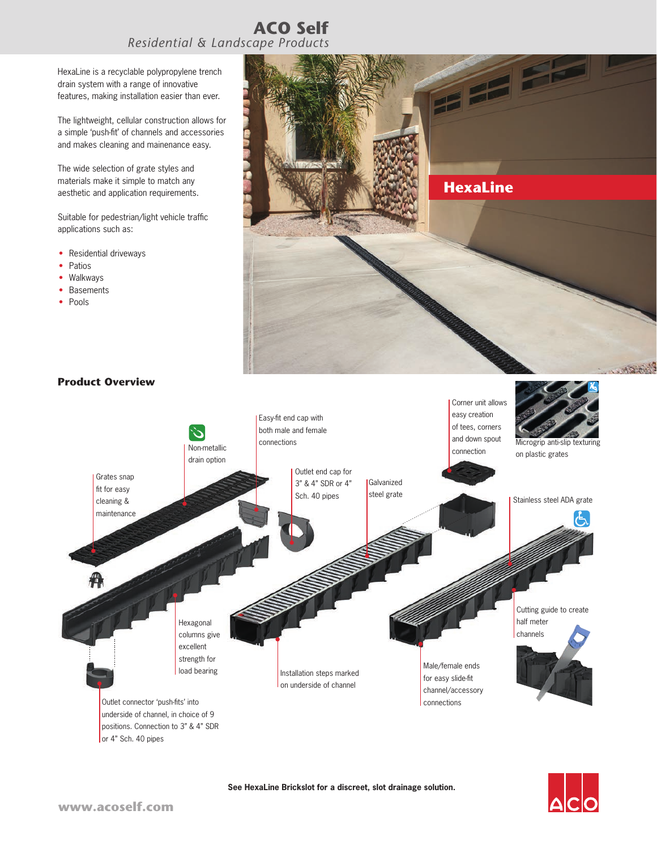## **ACO Self** *Residential & Landscape Products*

HexaLine is a recyclable polypropylene trench drain system with a range of innovative features, making installation easier than ever.

The lightweight, cellular construction allows for a simple 'push-fit' of channels and accessories and makes cleaning and mainenance easy.

The wide selection of grate styles and materials make it simple to match any aesthetic and application requirements.

Suitable for pedestrian/light vehicle traffic applications such as:

- Residential driveways
- Patios
- Walkways
- Basements
- Pools





**See HexaLine Brickslot for a discreet, slot drainage solution.**